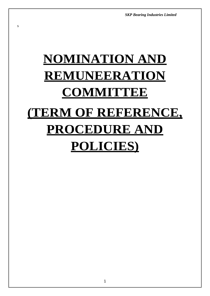*SKP Bearing Industries Limited*

# **NOMINATION AND REMUNEERATION COMMITTEE (TERM OF REFERENCE, PROCEDURE AND POLICIES)**

s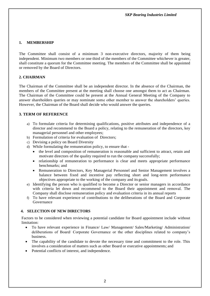## **1. MEMBERSHIP**

The Committee shall consist of a minimum 3 non-executive directors, majority of them being independent. Minimum two members or one third of the members of the Committee whichever is greater, shall constitute a quorum for the Committee meeting. The members of the Committee shall be appointed or removed by the Board of Directors.

# **2. CHAIRMAN**

The Chairman of the Committee shall be an independent director. In the absence of the Chairman, the members of the Committee present at the meeting shall choose one amongst them to act as Chairman. The Chairman of the Committee could be present at the Annual General Meeting of the Company to answer shareholders queries or may nominate some other member to answer the shareholders' queries. However, the Chairman of the Board shall decide who would answer the queries.

## **3. TERM OF REFERENCE**

- a) To formulate criteria for determining qualifications, positive attributes and independence of a director and recommend to the Board a policy, relating to the remuneration of the directors, key managerial personnel and other employees;
- b) Formulation of criteria for evaluation of Directors;
- c) Devising a policy on Board Diversity
- d) While formulating the remuneration policy, to ensure that
	- the level and composition of remuneration is reasonable and sufficient to attract, retain and motivate directors of the quality required to run the company successfully;
	- relationship of remuneration to performance is clear and meets appropriate performance benchmarks; and
	- Remuneration to Directors, Key Managerial Personnel and Senior Management involves a balance between fixed and incentive pay reflecting short and long-term performance objectives appropriate to the working of the company and its goals.
- e) Identifying the person who is qualified to become a Director or senior managers in accordance with criteria let down and recommend to the Board their appointment and removal. The Company shall disclose remuneration policy and evaluation criteria in its annual reports
- f) To have relevant experience of contributions to the deliberations of the Board and Corporate Governance

#### **4. SELECTION OF NEW DIRECTORS**

Factors to be considered when reviewing a potential candidate for Board appointment include without limitation:

- To have relevant experience in Finance/ Law/ Management/ Sales/Marketing/ Administration/ deliberations of Board/ Corporate Governance or the other disciplines related to company's business.
- The capability of the candidate to devote the necessary time and commitment to the role. This involves a consideration of matters such as other Board or executive appointments; and
- Potential conflicts of interest, and independence.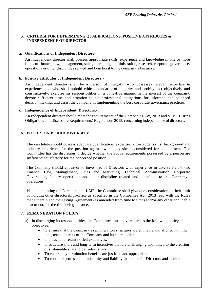## **5. CRITERIA FOR DETERMINING QUALIFICATIONS, POSITIVE ATTRIBUTES & INDEPENDENCE OF DIRECTOR**

#### **a. Qualifications of Independent Director:-**

An Independent director shall possess appropriate skills, experience and knowledge in one or more fields of finance, law, management, sales, marketing, administration, research, corporate governance, operations or other disciplines related and beneficial to the company's business.

#### **b. Positive attributes of Independent Directors:-**

An independent director shall be a person of integrity, who possesses relevant expertise  $\&$ experience and who shall uphold ethical standards of integrity and probity; act objectively and constructively; exercise his responsibilities in a bona-fide manner in the interest of the company; devote sufficient time and attention to his professional obligations for informed and balanced decision making; and assist the company in implementing the best corporate governancepractices.

#### **c. Independence of Independent Directors:-**

An Independent director should meet the requirements of the Companies Act, 2013 and SEBI (Listing Obligations and Disclosure Requirements) Regulations 2015, concerning independence of directors.

#### **6. POLICY ON BOARD DIVERSITY**

The candidate should possess adequate qualification, expertise, knowledge, skills, background and industry experience for the position against which he/ she is considered for appointment. The Committee has the discretion to decide whether the above requirements possessed by a person are sufficient/ satisfactory for the concerned position.

The Company should endeavor to have mix of Directors with experience in diverse field's viz. Finance, Law, Management, Sales and Marketing, Technical, Administration, Corporate Governance, factory operations and other discipline related and beneficial to the Company's operations.

While appointing the Directors and KMP, the Committee shall give due consideration to their limit of holding other directorships/office as specified in the Companies Act, 2013 read with the Rules made therein and the Listing Agreement (as amended from time to time) and/or any other applicable enactment, for the time being in force.

#### **7. REMUNERATION POLICY**

- a) In discharging its responsibilities, the Committee must have regard to the following policy objectives:
	- to ensure that the Company's remuneration structures are equitable and aligned with the long-term interests of the Company and its shareholders;
	- to attract and retain skilled executives;
	- to structure short and long-term incentives that are challenging and linked to the creation of sustainable shareholder returns; and
	- To ensure any termination benefits are justified and appropriate.
	- To consider professional indemnity and liability insurance for Directors and senior